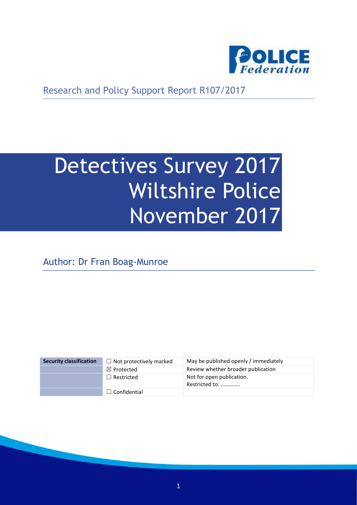

Research and Policy Support Report R107/2017

# Detectives Survey 2017 Wiltshire Police November 2017

Author: Dr Fran Boag-Munroe

| <b>Security classification</b> | $\Box$ Not protectively marked | May be published openly / immediately       |
|--------------------------------|--------------------------------|---------------------------------------------|
|                                | $\boxtimes$ Protected          | Review whether broader publication          |
|                                | $\Box$ Restricted              | Not for open publication.<br>Restricted to: |
|                                | $\Box$ Confidential            |                                             |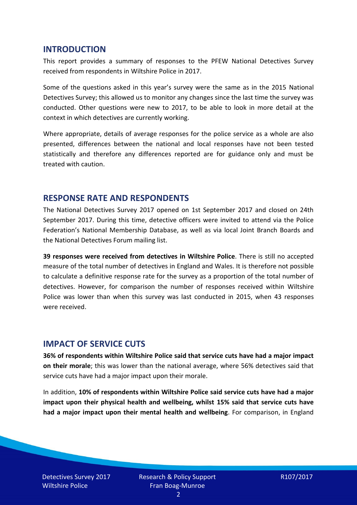#### **INTRODUCTION**

This report provides a summary of responses to the PFEW National Detectives Survey received from respondents in Wiltshire Police in 2017.

Some of the questions asked in this year's survey were the same as in the 2015 National Detectives Survey; this allowed us to monitor any changes since the last time the survey was conducted. Other questions were new to 2017, to be able to look in more detail at the context in which detectives are currently working.

Where appropriate, details of average responses for the police service as a whole are also presented, differences between the national and local responses have not been tested statistically and therefore any differences reported are for guidance only and must be treated with caution.

#### **RESPONSE RATE AND RESPONDENTS**

The National Detectives Survey 2017 opened on 1st September 2017 and closed on 24th September 2017. During this time, detective officers were invited to attend via the Police Federation's National Membership Database, as well as via local Joint Branch Boards and the National Detectives Forum mailing list.

**39 responses were received from detectives in Wiltshire Police**. There is still no accepted measure of the total number of detectives in England and Wales. It is therefore not possible to calculate a definitive response rate for the survey as a proportion of the total number of detectives. However, for comparison the number of responses received within Wiltshire Police was lower than when this survey was last conducted in 2015, when 43 responses were received.

#### **IMPACT OF SERVICE CUTS**

**36% of respondents within Wiltshire Police said that service cuts have had a major impact on their morale**; this was lower than the national average, where 56% detectives said that service cuts have had a major impact upon their morale.

In addition, **10% of respondents within Wiltshire Police said service cuts have had a major impact upon their physical health and wellbeing, whilst 15% said that service cuts have had a major impact upon their mental health and wellbeing**. For comparison, in England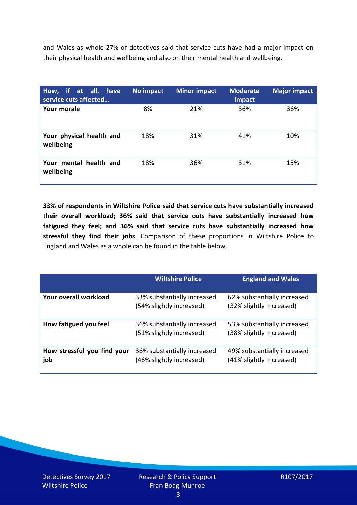and Wales as whole 27% of detectives said that service cuts have had a major impact on their physical health and wellbeing and also on their mental health and wellbeing.

| How, if at all, have<br>service cuts affected | No impact | <b>Minor impact</b> | <b>Moderate</b><br>impact | <b>Major impact</b> |
|-----------------------------------------------|-----------|---------------------|---------------------------|---------------------|
| Your morale                                   | 8%        | 21%                 | 36%                       | 36%                 |
| Your physical health and<br>wellbeing         | 18%       | 31%                 | 41%                       | 10%                 |
| Your mental health and<br>wellbeing           | 18%       | 36%                 | 31%                       | 15%                 |

**33% of respondents in Wiltshire Police said that service cuts have substantially increased their overall workload; 36% said that service cuts have substantially increased how fatigued they feel; and 36% said that service cuts have substantially increased how stressful they find their jobs**. Comparison of these proportions in Wiltshire Police to England and Wales as a whole can be found in the table below.

|                                    | <b>Wiltshire Police</b>                                 | <b>England and Wales</b>                                |
|------------------------------------|---------------------------------------------------------|---------------------------------------------------------|
| Your overall workload              | 33% substantially increased<br>(54% slightly increased) | 62% substantially increased<br>(32% slightly increased) |
| How fatigued you feel              | 36% substantially increased<br>(51% slightly increased) | 53% substantially increased<br>(38% slightly increased) |
| How stressful you find your<br>job | 36% substantially increased<br>(46% slightly increased) | 49% substantially increased<br>(41% slightly increased) |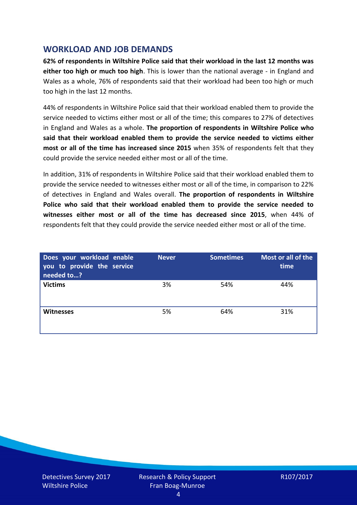## **WORKLOAD AND JOB DEMANDS**

**62% of respondents in Wiltshire Police said that their workload in the last 12 months was either too high or much too high**. This is lower than the national average - in England and Wales as a whole, 76% of respondents said that their workload had been too high or much too high in the last 12 months.

44% of respondents in Wiltshire Police said that their workload enabled them to provide the service needed to victims either most or all of the time; this compares to 27% of detectives in England and Wales as a whole. **The proportion of respondents in Wiltshire Police who said that their workload enabled them to provide the service needed to victims either most or all of the time has increased since 2015** when 35% of respondents felt that they could provide the service needed either most or all of the time.

In addition, 31% of respondents in Wiltshire Police said that their workload enabled them to provide the service needed to witnesses either most or all of the time, in comparison to 22% of detectives in England and Wales overall. **The proportion of respondents in Wiltshire Police who said that their workload enabled them to provide the service needed to witnesses either most or all of the time has decreased since 2015**, when 44% of respondents felt that they could provide the service needed either most or all of the time.

| Does your workload enable<br>you to provide the service<br>needed to? | <b>Never</b> | <b>Sometimes</b> | Most or all of the<br>time |
|-----------------------------------------------------------------------|--------------|------------------|----------------------------|
| <b>Victims</b>                                                        | 3%           | 54%              | 44%                        |
| <b>Witnesses</b>                                                      | 5%           | 64%              | 31%                        |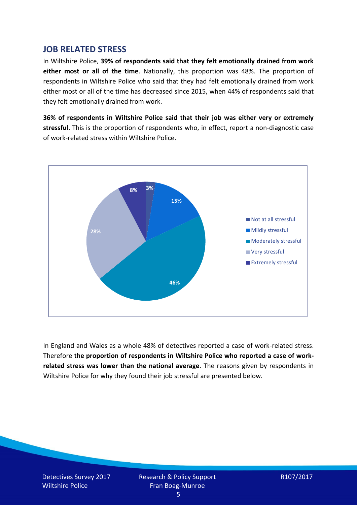#### **JOB RELATED STRESS**

In Wiltshire Police, **39% of respondents said that they felt emotionally drained from work either most or all of the time**. Nationally, this proportion was 48%. The proportion of respondents in Wiltshire Police who said that they had felt emotionally drained from work either most or all of the time has decreased since 2015, when 44% of respondents said that they felt emotionally drained from work.

**36% of respondents in Wiltshire Police said that their job was either very or extremely stressful**. This is the proportion of respondents who, in effect, report a non-diagnostic case of work-related stress within Wiltshire Police.



In England and Wales as a whole 48% of detectives reported a case of work-related stress. Therefore **the proportion of respondents in Wiltshire Police who reported a case of workrelated stress was lower than the national average**. The reasons given by respondents in Wiltshire Police for why they found their job stressful are presented below.

Detectives Survey 2017 Wiltshire Police

Research & Policy Support Fran Boag-Munroe

R107/2017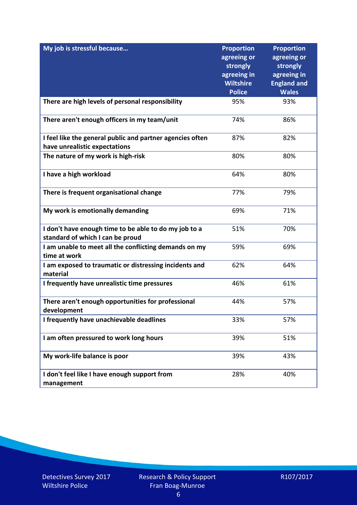| My job is stressful because                                                                | <b>Proportion</b><br>agreeing or<br>strongly<br>agreeing in<br><b>Wiltshire</b><br><b>Police</b> | <b>Proportion</b><br>agreeing or<br>strongly<br>agreeing in<br><b>England and</b><br><b>Wales</b> |
|--------------------------------------------------------------------------------------------|--------------------------------------------------------------------------------------------------|---------------------------------------------------------------------------------------------------|
| There are high levels of personal responsibility                                           | 95%                                                                                              | 93%                                                                                               |
|                                                                                            |                                                                                                  |                                                                                                   |
| There aren't enough officers in my team/unit                                               | 74%                                                                                              | 86%                                                                                               |
| I feel like the general public and partner agencies often<br>have unrealistic expectations | 87%                                                                                              | 82%                                                                                               |
| The nature of my work is high-risk                                                         | 80%                                                                                              | 80%                                                                                               |
| I have a high workload                                                                     | 64%                                                                                              | 80%                                                                                               |
| There is frequent organisational change                                                    | 77%                                                                                              | 79%                                                                                               |
| My work is emotionally demanding                                                           | 69%                                                                                              | 71%                                                                                               |
| I don't have enough time to be able to do my job to a<br>standard of which I can be proud  | 51%                                                                                              | 70%                                                                                               |
| I am unable to meet all the conflicting demands on my<br>time at work                      | 59%                                                                                              | 69%                                                                                               |
| I am exposed to traumatic or distressing incidents and<br>material                         | 62%                                                                                              | 64%                                                                                               |
| I frequently have unrealistic time pressures                                               | 46%                                                                                              | 61%                                                                                               |
| There aren't enough opportunities for professional<br>development                          | 44%                                                                                              | 57%                                                                                               |
| I frequently have unachievable deadlines                                                   | 33%                                                                                              | 57%                                                                                               |
| I am often pressured to work long hours                                                    | 39%                                                                                              | 51%                                                                                               |
| My work-life balance is poor                                                               | 39%                                                                                              | 43%                                                                                               |
| I don't feel like I have enough support from<br>management                                 | 28%                                                                                              | 40%                                                                                               |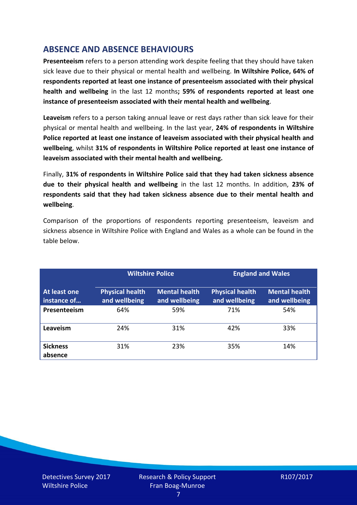# **ABSENCE AND ABSENCE BEHAVIOURS**

**Presenteeism** refers to a person attending work despite feeling that they should have taken sick leave due to their physical or mental health and wellbeing. **In Wiltshire Police, 64% of respondents reported at least one instance of presenteeism associated with their physical health and wellbeing** in the last 12 months**; 59% of respondents reported at least one instance of presenteeism associated with their mental health and wellbeing**.

**Leaveism** refers to a person taking annual leave or rest days rather than sick leave for their physical or mental health and wellbeing. In the last year, **24% of respondents in Wiltshire Police reported at least one instance of leaveism associated with their physical health and wellbeing**, whilst **31% of respondents in Wiltshire Police reported at least one instance of leaveism associated with their mental health and wellbeing.**

Finally, **31% of respondents in Wiltshire Police said that they had taken sickness absence due to their physical health and wellbeing** in the last 12 months. In addition, **23% of respondents said that they had taken sickness absence due to their mental health and wellbeing**.

Comparison of the proportions of respondents reporting presenteeism, leaveism and sickness absence in Wiltshire Police with England and Wales as a whole can be found in the table below.

|                             |                                         | <b>Wiltshire Police</b>               |                                         | <b>England and Wales</b>              |
|-----------------------------|-----------------------------------------|---------------------------------------|-----------------------------------------|---------------------------------------|
| At least one<br>instance of | <b>Physical health</b><br>and wellbeing | <b>Mental health</b><br>and wellbeing | <b>Physical health</b><br>and wellbeing | <b>Mental health</b><br>and wellbeing |
| Presenteeism                | 64%                                     | 59%                                   | 71%                                     | 54%                                   |
| Leaveism                    | 24%                                     | 31%                                   | 42%                                     | 33%                                   |
| <b>Sickness</b><br>absence  | 31%                                     | 23%                                   | 35%                                     | 14%                                   |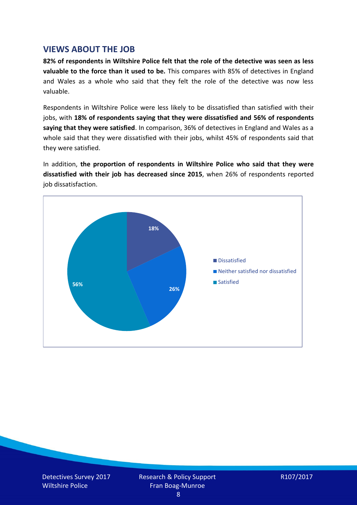## **VIEWS ABOUT THE JOB**

**82% of respondents in Wiltshire Police felt that the role of the detective was seen as less valuable to the force than it used to be.** This compares with 85% of detectives in England and Wales as a whole who said that they felt the role of the detective was now less valuable.

Respondents in Wiltshire Police were less likely to be dissatisfied than satisfied with their jobs, with **18% of respondents saying that they were dissatisfied and 56% of respondents saying that they were satisfied**. In comparison, 36% of detectives in England and Wales as a whole said that they were dissatisfied with their jobs, whilst 45% of respondents said that they were satisfied.

In addition, **the proportion of respondents in Wiltshire Police who said that they were dissatisfied with their job has decreased since 2015**, when 26% of respondents reported job dissatisfaction.



$$
R107/2017
$$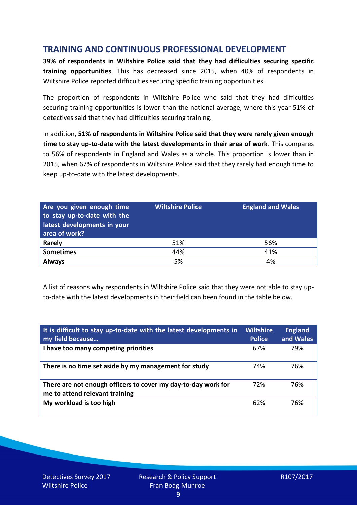## **TRAINING AND CONTINUOUS PROFESSIONAL DEVELOPMENT**

**39% of respondents in Wiltshire Police said that they had difficulties securing specific training opportunities**. This has decreased since 2015, when 40% of respondents in Wiltshire Police reported difficulties securing specific training opportunities.

The proportion of respondents in Wiltshire Police who said that they had difficulties securing training opportunities is lower than the national average, where this year 51% of detectives said that they had difficulties securing training.

In addition, **51% of respondents in Wiltshire Police said that they were rarely given enough time to stay up-to-date with the latest developments in their area of work**. This compares to 56% of respondents in England and Wales as a whole. This proportion is lower than in 2015, when 67% of respondents in Wiltshire Police said that they rarely had enough time to keep up-to-date with the latest developments.

| Are you given enough time<br>to stay up-to-date with the<br>latest developments in your<br>area of work? | <b>Wiltshire Police</b> | <b>England and Wales</b> |
|----------------------------------------------------------------------------------------------------------|-------------------------|--------------------------|
| Rarely                                                                                                   | 51%                     | 56%                      |
| <b>Sometimes</b>                                                                                         | 44%                     | 41%                      |
| <b>Always</b>                                                                                            | 5%                      | 4%                       |

A list of reasons why respondents in Wiltshire Police said that they were not able to stay upto-date with the latest developments in their field can been found in the table below.

| It is difficult to stay up-to-date with the latest developments in<br>my field because          | <b>Wiltshire</b><br><b>Police</b> | <b>England</b><br>and Wales |
|-------------------------------------------------------------------------------------------------|-----------------------------------|-----------------------------|
| I have too many competing priorities                                                            | 67%                               | 79%                         |
| There is no time set aside by my management for study                                           | 74%                               | 76%                         |
| There are not enough officers to cover my day-to-day work for<br>me to attend relevant training | 72%                               | 76%                         |
| My workload is too high                                                                         | 62%                               | 76%                         |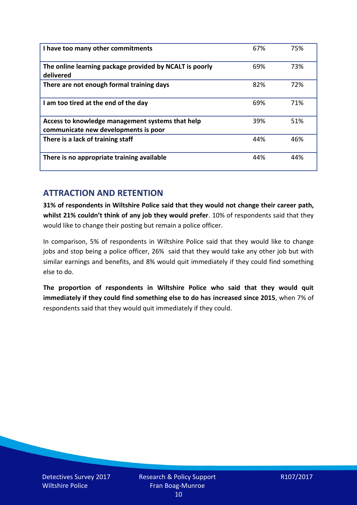| I have too many other commitments                                                        | 67% | 75% |
|------------------------------------------------------------------------------------------|-----|-----|
| The online learning package provided by NCALT is poorly<br>delivered                     | 69% | 73% |
| There are not enough formal training days                                                | 82% | 72% |
| I am too tired at the end of the day                                                     | 69% | 71% |
| Access to knowledge management systems that help<br>communicate new developments is poor | 39% | 51% |
| There is a lack of training staff                                                        | 44% | 46% |
| There is no appropriate training available                                               | 44% | 44% |

## **ATTRACTION AND RETENTION**

**31% of respondents in Wiltshire Police said that they would not change their career path, whilst 21% couldn't think of any job they would prefer**. 10% of respondents said that they would like to change their posting but remain a police officer.

In comparison, 5% of respondents in Wiltshire Police said that they would like to change jobs and stop being a police officer, 26% said that they would take any other job but with similar earnings and benefits, and 8% would quit immediately if they could find something else to do.

**The proportion of respondents in Wiltshire Police who said that they would quit immediately if they could find something else to do has increased since 2015**, when 7% of respondents said that they would quit immediately if they could.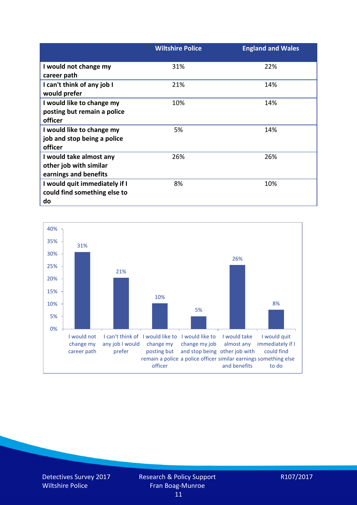|                               | <b>Wiltshire Police</b> | <b>England and Wales</b> |
|-------------------------------|-------------------------|--------------------------|
| I would not change my         | 31%                     | 22%                      |
| career path                   |                         |                          |
| I can't think of any job I    | 21%                     | 14%                      |
| would prefer                  |                         |                          |
| I would like to change my     | 10%                     | 14%                      |
| posting but remain a police   |                         |                          |
| officer                       |                         |                          |
| I would like to change my     | 5%                      | 14%                      |
| job and stop being a police   |                         |                          |
| officer                       |                         |                          |
| I would take almost any       | 26%                     | 26%                      |
| other job with similar        |                         |                          |
| earnings and benefits         |                         |                          |
| I would quit immediately if I | 8%                      | 10%                      |
| could find something else to  |                         |                          |
| do                            |                         |                          |